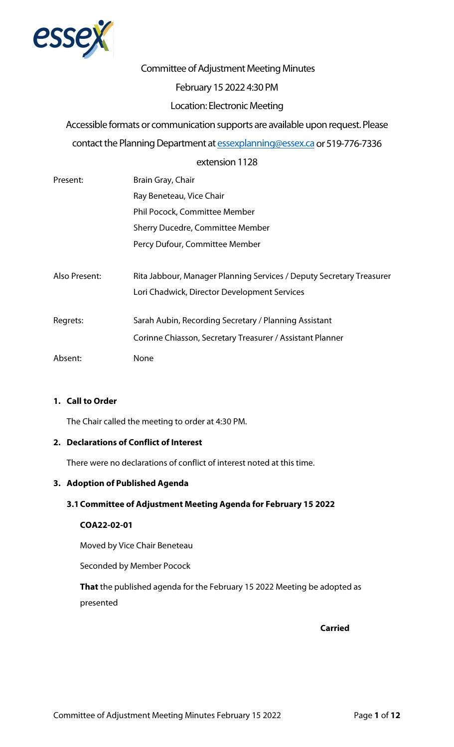

# Committee of Adjustment Meeting Minutes

# February 15 2022 4:30 PM

# Location: Electronic Meeting

Accessible formats or communication supports are available upon request. Please contact the Planning Department a[t essexplanning@essex.ca](mailto:essexplanning@essex.ca) or 519-776-7336

# extension 1128

| Present:      | Brain Gray, Chair                                                    |
|---------------|----------------------------------------------------------------------|
|               | Ray Beneteau, Vice Chair                                             |
|               | Phil Pocock, Committee Member                                        |
|               | Sherry Ducedre, Committee Member                                     |
|               | Percy Dufour, Committee Member                                       |
|               |                                                                      |
| Also Present: | Rita Jabbour, Manager Planning Services / Deputy Secretary Treasurer |
|               | Lori Chadwick, Director Development Services                         |
|               |                                                                      |
| Regrets:      | Sarah Aubin, Recording Secretary / Planning Assistant                |
|               | Corinne Chiasson, Secretary Treasurer / Assistant Planner            |
| Absent:       | None                                                                 |

# **1. Call to Order**

The Chair called the meeting to order at 4:30 PM.

# **2. Declarations of Conflict of Interest**

There were no declarations of conflict of interest noted at this time.

#### **3. Adoption of Published Agenda**

# **3.1Committee of Adjustment Meeting Agenda for February 15 2022**

### **COA22-02-01**

Moved by Vice Chair Beneteau

Seconded by Member Pocock

**That** the published agenda for the February 15 2022 Meeting be adopted as presented

**Carried**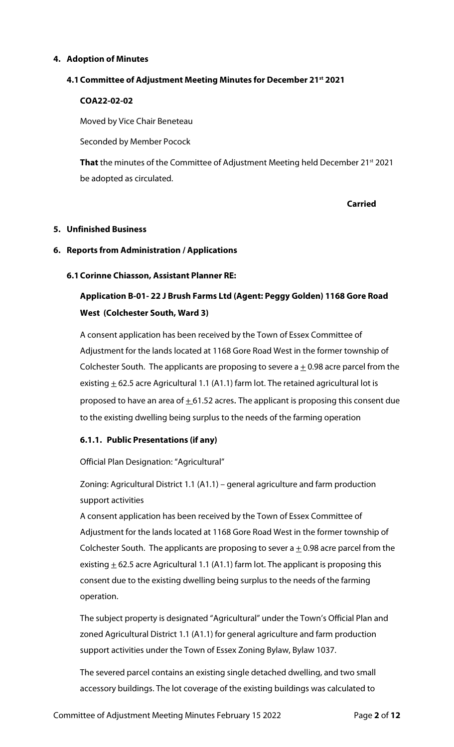# **4. Adoption of Minutes**

#### **4.1Committee of Adjustment Meeting Minutes for December 21st 2021**

### **COA22-02-02**

Moved by Vice Chair Beneteau

Seconded by Member Pocock

**That** the minutes of the Committee of Adjustment Meeting held December 21<sup>st</sup> 2021 be adopted as circulated.

**Carried**

#### **5. Unfinished Business**

### **6. Reports from Administration / Applications**

### **6.1Corinne Chiasson, Assistant Planner RE:**

# **Application B-01- 22 J Brush Farms Ltd (Agent: Peggy Golden) 1168 Gore Road West (Colchester South, Ward 3)**

A consent application has been received by the Town of Essex Committee of Adjustment for the lands located at 1168 Gore Road West in the former township of Colchester South. The applicants are proposing to severe  $a \pm 0.98$  acre parcel from the existing  $\pm$  62.5 acre Agricultural 1.1 (A1.1) farm lot. The retained agricultural lot is proposed to have an area of  $\pm$  61.52 acres. The applicant is proposing this consent due to the existing dwelling being surplus to the needs of the farming operation

# **6.1.1. Public Presentations (if any)**

Official Plan Designation: "Agricultural"

Zoning: Agricultural District 1.1 (A1.1) – general agriculture and farm production support activities

A consent application has been received by the Town of Essex Committee of Adjustment for the lands located at 1168 Gore Road West in the former township of Colchester South. The applicants are proposing to sever  $a \pm 0.98$  acre parcel from the existing  $\pm$  62.5 acre Agricultural 1.1 (A1.1) farm lot. The applicant is proposing this consent due to the existing dwelling being surplus to the needs of the farming operation.

The subject property is designated "Agricultural" under the Town's Official Plan and zoned Agricultural District 1.1 (A1.1) for general agriculture and farm production support activities under the Town of Essex Zoning Bylaw, Bylaw 1037.

The severed parcel contains an existing single detached dwelling, and two small accessory buildings. The lot coverage of the existing buildings was calculated to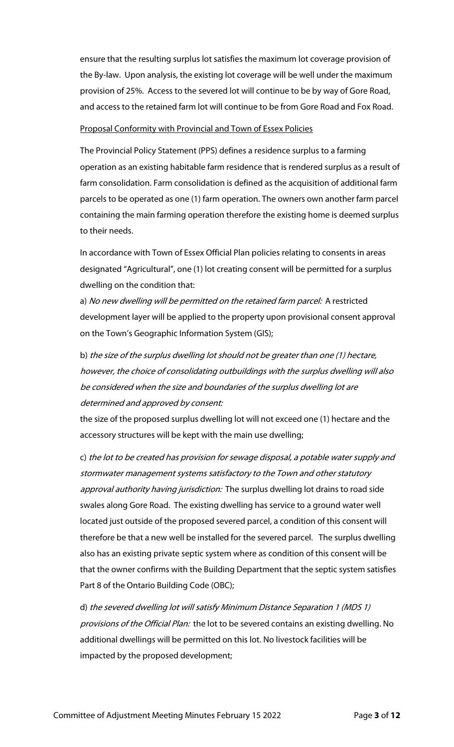ensure that the resulting surplus lot satisfies the maximum lot coverage provision of the By-law. Upon analysis, the existing lot coverage will be well under the maximum provision of 25%. Access to the severed lot will continue to be by way of Gore Road, and access to the retained farm lot will continue to be from Gore Road and Fox Road.

### Proposal Conformity with Provincial and Town of Essex Policies

The Provincial Policy Statement (PPS) defines a residence surplus to a farming operation as an existing habitable farm residence that is rendered surplus as a result of farm consolidation. Farm consolidation is defined as the acquisition of additional farm parcels to be operated as one (1) farm operation. The owners own another farm parcel containing the main farming operation therefore the existing home is deemed surplus to their needs.

In accordance with Town of Essex Official Plan policies relating to consents in areas designated "Agricultural", one (1) lot creating consent will be permitted for a surplus dwelling on the condition that:

a) No new dwelling will be permitted on the retained farm parcel: A restricted development layer will be applied to the property upon provisional consent approval on the Town's Geographic Information System (GIS);

b) the size of the surplus dwelling lot should not be greater than one (1) hectare, however, the choice of consolidating outbuildings with the surplus dwelling will also be considered when the size and boundaries of the surplus dwelling lot are determined and approved by consent:

the size of the proposed surplus dwelling lot will not exceed one (1) hectare and the accessory structures will be kept with the main use dwelling;

c) the lot to be created has provision for sewage disposal, a potable water supply and stormwater management systems satisfactory to the Town and other statutory approval authority having jurisdiction: The surplus dwelling lot drains to road side swales along Gore Road. The existing dwelling has service to a ground water well located just outside of the proposed severed parcel, a condition of this consent will therefore be that a new well be installed for the severed parcel. The surplus dwelling also has an existing private septic system where as condition of this consent will be that the owner confirms with the Building Department that the septic system satisfies Part 8 of the Ontario Building Code (OBC);

d) the severed dwelling lot will satisfy Minimum Distance Separation 1 (MDS 1) provisions of the Official Plan: the lot to be severed contains an existing dwelling. No additional dwellings will be permitted on this lot. No livestock facilities will be impacted by the proposed development;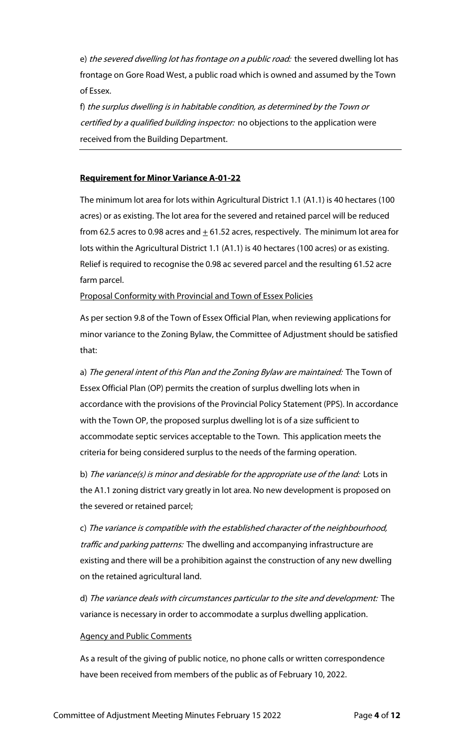e) the severed dwelling lot has frontage on a public road: the severed dwelling lot has frontage on Gore Road West, a public road which is owned and assumed by the Town of Essex.

f) the surplus dwelling is in habitable condition, as determined by the Town or certified by a qualified building inspector: no objections to the application were received from the Building Department.

# **Requirement for Minor Variance A-01-22**

The minimum lot area for lots within Agricultural District 1.1 (A1.1) is 40 hectares (100 acres) or as existing. The lot area for the severed and retained parcel will be reduced from 62.5 acres to 0.98 acres and  $\pm$  61.52 acres, respectively. The minimum lot area for lots within the Agricultural District 1.1 (A1.1) is 40 hectares (100 acres) or as existing. Relief is required to recognise the 0.98 ac severed parcel and the resulting 61.52 acre farm parcel.

Proposal Conformity with Provincial and Town of Essex Policies

As per section 9.8 of the Town of Essex Official Plan, when reviewing applications for minor variance to the Zoning Bylaw, the Committee of Adjustment should be satisfied that:

a) The general intent of this Plan and the Zoning Bylaw are maintained: The Town of Essex Official Plan (OP) permits the creation of surplus dwelling lots when in accordance with the provisions of the Provincial Policy Statement (PPS). In accordance with the Town OP, the proposed surplus dwelling lot is of a size sufficient to accommodate septic services acceptable to the Town. This application meets the criteria for being considered surplus to the needs of the farming operation.

b) The variance(s) is minor and desirable for the appropriate use of the land: Lots in the A1.1 zoning district vary greatly in lot area. No new development is proposed on the severed or retained parcel;

c) The variance is compatible with the established character of the neighbourhood, traffic and parking patterns: The dwelling and accompanying infrastructure are existing and there will be a prohibition against the construction of any new dwelling on the retained agricultural land.

d) The variance deals with circumstances particular to the site and development: The variance is necessary in order to accommodate a surplus dwelling application.

#### Agency and Public Comments

As a result of the giving of public notice, no phone calls or written correspondence have been received from members of the public as of February 10, 2022.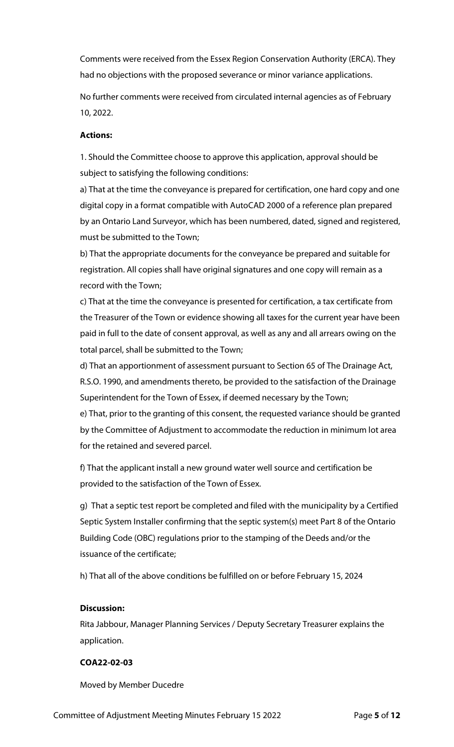Comments were received from the Essex Region Conservation Authority (ERCA). They had no objections with the proposed severance or minor variance applications.

No further comments were received from circulated internal agencies as of February 10, 2022.

# **Actions:**

1. Should the Committee choose to approve this application, approval should be subject to satisfying the following conditions:

a) That at the time the conveyance is prepared for certification, one hard copy and one digital copy in a format compatible with AutoCAD 2000 of a reference plan prepared by an Ontario Land Surveyor, which has been numbered, dated, signed and registered, must be submitted to the Town;

b) That the appropriate documents for the conveyance be prepared and suitable for registration. All copies shall have original signatures and one copy will remain as a record with the Town;

c) That at the time the conveyance is presented for certification, a tax certificate from the Treasurer of the Town or evidence showing all taxes for the current year have been paid in full to the date of consent approval, as well as any and all arrears owing on the total parcel, shall be submitted to the Town;

d) That an apportionment of assessment pursuant to Section 65 of The Drainage Act, R.S.O. 1990, and amendments thereto, be provided to the satisfaction of the Drainage Superintendent for the Town of Essex, if deemed necessary by the Town;

e) That, prior to the granting of this consent, the requested variance should be granted by the Committee of Adjustment to accommodate the reduction in minimum lot area for the retained and severed parcel.

f) That the applicant install a new ground water well source and certification be provided to the satisfaction of the Town of Essex.

g) That a septic test report be completed and filed with the municipality by a Certified Septic System Installer confirming that the septic system(s) meet Part 8 of the Ontario Building Code (OBC) regulations prior to the stamping of the Deeds and/or the issuance of the certificate;

h) That all of the above conditions be fulfilled on or before February 15, 2024

# **Discussion:**

Rita Jabbour, Manager Planning Services / Deputy Secretary Treasurer explains the application.

# **COA22-02-03**

Moved by Member Ducedre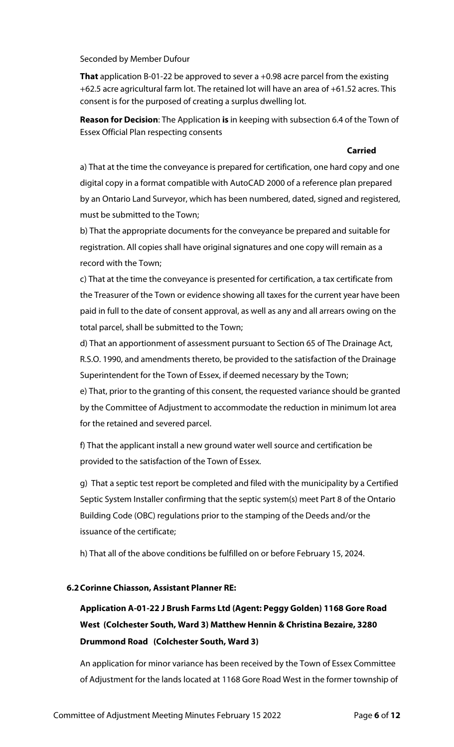Seconded by Member Dufour

**That** application B-01-22 be approved to sever a +0.98 acre parcel from the existing +62.5 acre agricultural farm lot. The retained lot will have an area of +61.52 acres. This consent is for the purposed of creating a surplus dwelling lot.

**Reason for Decision**: The Application **is** in keeping with subsection 6.4 of the Town of Essex Official Plan respecting consents

#### **Carried**

a) That at the time the conveyance is prepared for certification, one hard copy and one digital copy in a format compatible with AutoCAD 2000 of a reference plan prepared by an Ontario Land Surveyor, which has been numbered, dated, signed and registered, must be submitted to the Town;

b) That the appropriate documents for the conveyance be prepared and suitable for registration. All copies shall have original signatures and one copy will remain as a record with the Town;

c) That at the time the conveyance is presented for certification, a tax certificate from the Treasurer of the Town or evidence showing all taxes for the current year have been paid in full to the date of consent approval, as well as any and all arrears owing on the total parcel, shall be submitted to the Town;

d) That an apportionment of assessment pursuant to Section 65 of The Drainage Act, R.S.O. 1990, and amendments thereto, be provided to the satisfaction of the Drainage Superintendent for the Town of Essex, if deemed necessary by the Town; e) That, prior to the granting of this consent, the requested variance should be granted by the Committee of Adjustment to accommodate the reduction in minimum lot area for the retained and severed parcel.

f) That the applicant install a new ground water well source and certification be provided to the satisfaction of the Town of Essex.

g) That a septic test report be completed and filed with the municipality by a Certified Septic System Installer confirming that the septic system(s) meet Part 8 of the Ontario Building Code (OBC) regulations prior to the stamping of the Deeds and/or the issuance of the certificate;

h) That all of the above conditions be fulfilled on or before February 15, 2024.

#### **6.2Corinne Chiasson, Assistant Planner RE:**

# **Application A-01-22 J Brush Farms Ltd (Agent: Peggy Golden) 1168 Gore Road West (Colchester South, Ward 3) Matthew Hennin & Christina Bezaire, 3280 Drummond Road (Colchester South, Ward 3)**

An application for minor variance has been received by the Town of Essex Committee of Adjustment for the lands located at 1168 Gore Road West in the former township of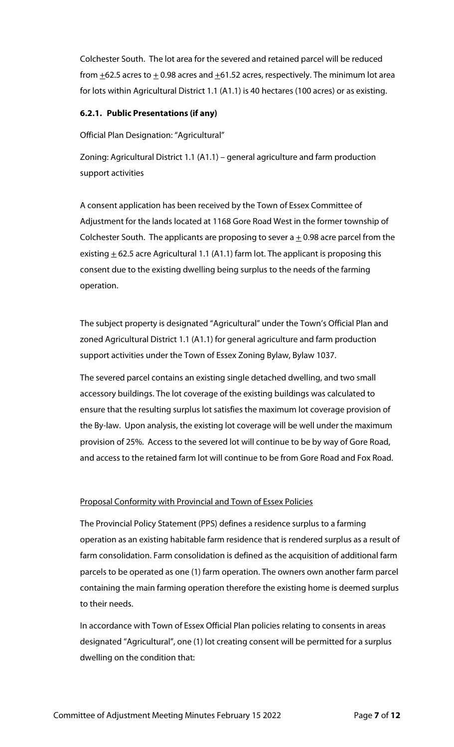Colchester South. The lot area for the severed and retained parcel will be reduced from  $\pm$ 62.5 acres to  $\pm$  0.98 acres and  $\pm$ 61.52 acres, respectively. The minimum lot area for lots within Agricultural District 1.1 (A1.1) is 40 hectares (100 acres) or as existing.

# **6.2.1. Public Presentations (if any)**

Official Plan Designation: "Agricultural"

Zoning: Agricultural District 1.1 (A1.1) – general agriculture and farm production support activities

A consent application has been received by the Town of Essex Committee of Adjustment for the lands located at 1168 Gore Road West in the former township of Colchester South. The applicants are proposing to sever  $a \pm 0.98$  acre parcel from the existing  $\pm$  62.5 acre Agricultural 1.1 (A1.1) farm lot. The applicant is proposing this consent due to the existing dwelling being surplus to the needs of the farming operation.

The subject property is designated "Agricultural" under the Town's Official Plan and zoned Agricultural District 1.1 (A1.1) for general agriculture and farm production support activities under the Town of Essex Zoning Bylaw, Bylaw 1037.

The severed parcel contains an existing single detached dwelling, and two small accessory buildings. The lot coverage of the existing buildings was calculated to ensure that the resulting surplus lot satisfies the maximum lot coverage provision of the By-law. Upon analysis, the existing lot coverage will be well under the maximum provision of 25%. Access to the severed lot will continue to be by way of Gore Road, and access to the retained farm lot will continue to be from Gore Road and Fox Road.

# Proposal Conformity with Provincial and Town of Essex Policies

The Provincial Policy Statement (PPS) defines a residence surplus to a farming operation as an existing habitable farm residence that is rendered surplus as a result of farm consolidation. Farm consolidation is defined as the acquisition of additional farm parcels to be operated as one (1) farm operation. The owners own another farm parcel containing the main farming operation therefore the existing home is deemed surplus to their needs.

In accordance with Town of Essex Official Plan policies relating to consents in areas designated "Agricultural", one (1) lot creating consent will be permitted for a surplus dwelling on the condition that: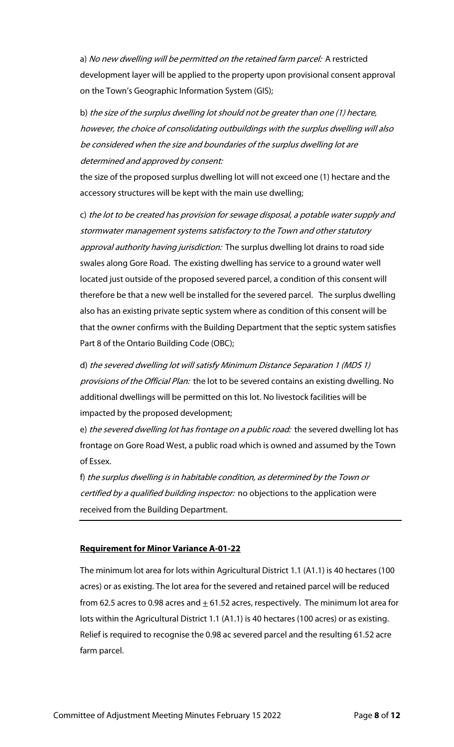a) No new dwelling will be permitted on the retained farm parcel: A restricted development layer will be applied to the property upon provisional consent approval on the Town's Geographic Information System (GIS);

b) the size of the surplus dwelling lot should not be greater than one (1) hectare, however, the choice of consolidating outbuildings with the surplus dwelling will also be considered when the size and boundaries of the surplus dwelling lot are determined and approved by consent:

the size of the proposed surplus dwelling lot will not exceed one (1) hectare and the accessory structures will be kept with the main use dwelling;

c) the lot to be created has provision for sewage disposal, a potable water supply and stormwater management systems satisfactory to the Town and other statutory approval authority having jurisdiction: The surplus dwelling lot drains to road side swales along Gore Road. The existing dwelling has service to a ground water well located just outside of the proposed severed parcel, a condition of this consent will therefore be that a new well be installed for the severed parcel. The surplus dwelling also has an existing private septic system where as condition of this consent will be that the owner confirms with the Building Department that the septic system satisfies Part 8 of the Ontario Building Code (OBC);

d) the severed dwelling lot will satisfy Minimum Distance Separation 1 (MDS 1) provisions of the Official Plan: the lot to be severed contains an existing dwelling. No additional dwellings will be permitted on this lot. No livestock facilities will be impacted by the proposed development;

e) the severed dwelling lot has frontage on a public road: the severed dwelling lot has frontage on Gore Road West, a public road which is owned and assumed by the Town of Essex.

f) the surplus dwelling is in habitable condition, as determined by the Town or certified by a qualified building inspector: no objections to the application were received from the Building Department.

# **Requirement for Minor Variance A-01-22**

The minimum lot area for lots within Agricultural District 1.1 (A1.1) is 40 hectares (100 acres) or as existing. The lot area for the severed and retained parcel will be reduced from 62.5 acres to 0.98 acres and  $\pm$  61.52 acres, respectively. The minimum lot area for lots within the Agricultural District 1.1 (A1.1) is 40 hectares (100 acres) or as existing. Relief is required to recognise the 0.98 ac severed parcel and the resulting 61.52 acre farm parcel.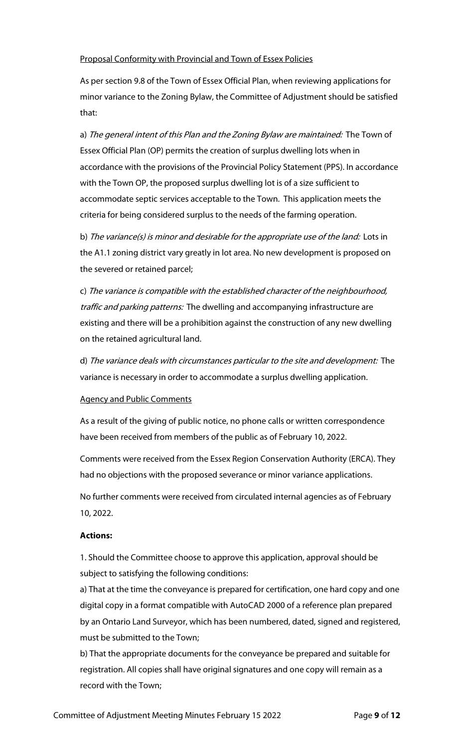# Proposal Conformity with Provincial and Town of Essex Policies

As per section 9.8 of the Town of Essex Official Plan, when reviewing applications for minor variance to the Zoning Bylaw, the Committee of Adjustment should be satisfied that:

a) The general intent of this Plan and the Zoning Bylaw are maintained: The Town of Essex Official Plan (OP) permits the creation of surplus dwelling lots when in accordance with the provisions of the Provincial Policy Statement (PPS). In accordance with the Town OP, the proposed surplus dwelling lot is of a size sufficient to accommodate septic services acceptable to the Town. This application meets the criteria for being considered surplus to the needs of the farming operation.

b) The variance(s) is minor and desirable for the appropriate use of the land: Lots in the A1.1 zoning district vary greatly in lot area. No new development is proposed on the severed or retained parcel;

c) The variance is compatible with the established character of the neighbourhood, traffic and parking patterns: The dwelling and accompanying infrastructure are existing and there will be a prohibition against the construction of any new dwelling on the retained agricultural land.

d) The variance deals with circumstances particular to the site and development: The variance is necessary in order to accommodate a surplus dwelling application.

# Agency and Public Comments

As a result of the giving of public notice, no phone calls or written correspondence have been received from members of the public as of February 10, 2022.

Comments were received from the Essex Region Conservation Authority (ERCA). They had no objections with the proposed severance or minor variance applications.

No further comments were received from circulated internal agencies as of February 10, 2022.

#### **Actions:**

1. Should the Committee choose to approve this application, approval should be subject to satisfying the following conditions:

a) That at the time the conveyance is prepared for certification, one hard copy and one digital copy in a format compatible with AutoCAD 2000 of a reference plan prepared by an Ontario Land Surveyor, which has been numbered, dated, signed and registered, must be submitted to the Town;

b) That the appropriate documents for the conveyance be prepared and suitable for registration. All copies shall have original signatures and one copy will remain as a record with the Town;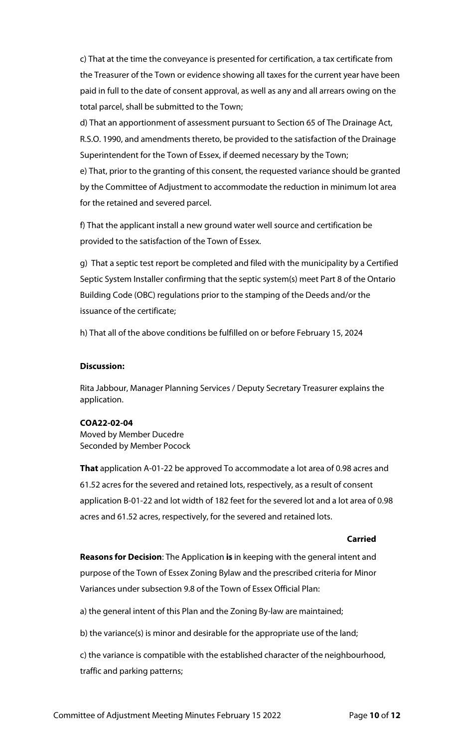c) That at the time the conveyance is presented for certification, a tax certificate from the Treasurer of the Town or evidence showing all taxes for the current year have been paid in full to the date of consent approval, as well as any and all arrears owing on the total parcel, shall be submitted to the Town;

d) That an apportionment of assessment pursuant to Section 65 of The Drainage Act, R.S.O. 1990, and amendments thereto, be provided to the satisfaction of the Drainage Superintendent for the Town of Essex, if deemed necessary by the Town;

e) That, prior to the granting of this consent, the requested variance should be granted by the Committee of Adjustment to accommodate the reduction in minimum lot area for the retained and severed parcel.

f) That the applicant install a new ground water well source and certification be provided to the satisfaction of the Town of Essex.

g) That a septic test report be completed and filed with the municipality by a Certified Septic System Installer confirming that the septic system(s) meet Part 8 of the Ontario Building Code (OBC) regulations prior to the stamping of the Deeds and/or the issuance of the certificate;

h) That all of the above conditions be fulfilled on or before February 15, 2024

#### **Discussion:**

Rita Jabbour, Manager Planning Services / Deputy Secretary Treasurer explains the application.

#### **COA22-02-04**

Moved by Member Ducedre Seconded by Member Pocock

**That** application A-01-22 be approved To accommodate a lot area of 0.98 acres and 61.52 acres for the severed and retained lots, respectively, as a result of consent application B-01-22 and lot width of 182 feet for the severed lot and a lot area of 0.98 acres and 61.52 acres, respectively, for the severed and retained lots.

#### **Carried**

**Reasons for Decision**: The Application **is** in keeping with the general intent and purpose of the Town of Essex Zoning Bylaw and the prescribed criteria for Minor Variances under subsection 9.8 of the Town of Essex Official Plan:

a) the general intent of this Plan and the Zoning By-law are maintained;

b) the variance(s) is minor and desirable for the appropriate use of the land;

c) the variance is compatible with the established character of the neighbourhood, traffic and parking patterns;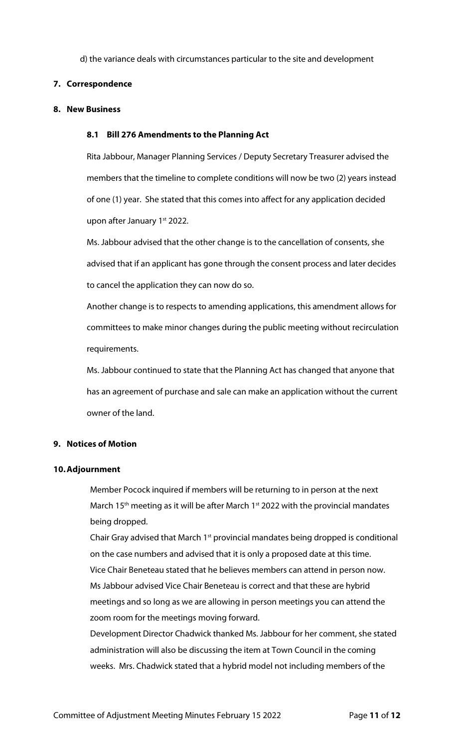d) the variance deals with circumstances particular to the site and development

# **7. Correspondence**

#### **8. New Business**

### **8.1 Bill 276 Amendments to the Planning Act**

Rita Jabbour, Manager Planning Services / Deputy Secretary Treasurer advised the members that the timeline to complete conditions will now be two (2) years instead of one (1) year. She stated that this comes into affect for any application decided upon after January 1<sup>st</sup> 2022.

Ms. Jabbour advised that the other change is to the cancellation of consents, she advised that if an applicant has gone through the consent process and later decides to cancel the application they can now do so.

Another change is to respects to amending applications, this amendment allows for committees to make minor changes during the public meeting without recirculation requirements.

Ms. Jabbour continued to state that the Planning Act has changed that anyone that has an agreement of purchase and sale can make an application without the current owner of the land.

# **9. Notices of Motion**

#### **10.Adjournment**

Member Pocock inquired if members will be returning to in person at the next March 15<sup>th</sup> meeting as it will be after March 1<sup>st</sup> 2022 with the provincial mandates being dropped.

Chair Gray advised that March 1<sup>st</sup> provincial mandates being dropped is conditional on the case numbers and advised that it is only a proposed date at this time. Vice Chair Beneteau stated that he believes members can attend in person now. Ms Jabbour advised Vice Chair Beneteau is correct and that these are hybrid meetings and so long as we are allowing in person meetings you can attend the zoom room for the meetings moving forward.

Development Director Chadwick thanked Ms. Jabbour for her comment, she stated administration will also be discussing the item at Town Council in the coming weeks. Mrs. Chadwick stated that a hybrid model not including members of the